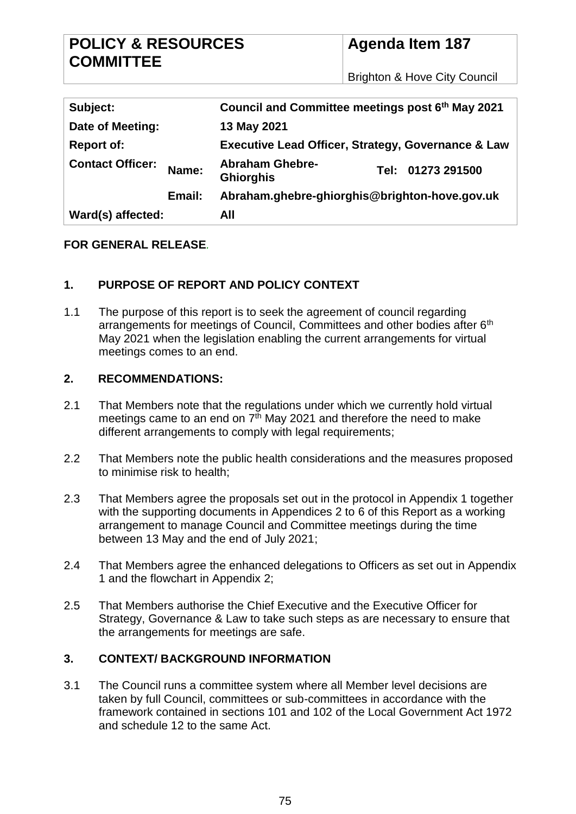| <b>POLICY &amp; RESOURCES</b> |  |
|-------------------------------|--|
| <b>COMMITTEE</b>              |  |

**Agenda Item 187**

Brighton & Hove City Council

| Subject:                |        | Council and Committee meetings post 6th May 2021              |                   |
|-------------------------|--------|---------------------------------------------------------------|-------------------|
| Date of Meeting:        |        | 13 May 2021                                                   |                   |
| <b>Report of:</b>       |        | <b>Executive Lead Officer, Strategy, Governance &amp; Law</b> |                   |
| <b>Contact Officer:</b> | Name:  | <b>Abraham Ghebre-</b><br><b>Ghiorghis</b>                    | Tel: 01273 291500 |
|                         | Email: | Abraham.ghebre-ghiorghis@brighton-hove.gov.uk                 |                   |
| Ward(s) affected:       |        | All                                                           |                   |

#### **FOR GENERAL RELEASE***.*

## **1. PURPOSE OF REPORT AND POLICY CONTEXT**

1.1 The purpose of this report is to seek the agreement of council regarding arrangements for meetings of Council, Committees and other bodies after 6<sup>th</sup> May 2021 when the legislation enabling the current arrangements for virtual meetings comes to an end.

#### **2. RECOMMENDATIONS:**

- 2.1 That Members note that the regulations under which we currently hold virtual meetings came to an end on  $7<sup>th</sup>$  May 2021 and therefore the need to make different arrangements to comply with legal requirements;
- 2.2 That Members note the public health considerations and the measures proposed to minimise risk to health;
- 2.3 That Members agree the proposals set out in the protocol in Appendix 1 together with the supporting documents in Appendices 2 to 6 of this Report as a working arrangement to manage Council and Committee meetings during the time between 13 May and the end of July 2021;
- 2.4 That Members agree the enhanced delegations to Officers as set out in Appendix 1 and the flowchart in Appendix 2;
- 2.5 That Members authorise the Chief Executive and the Executive Officer for Strategy, Governance & Law to take such steps as are necessary to ensure that the arrangements for meetings are safe.

## **3. CONTEXT/ BACKGROUND INFORMATION**

3.1 The Council runs a committee system where all Member level decisions are taken by full Council, committees or sub-committees in accordance with the framework contained in sections 101 and 102 of the Local Government Act 1972 and schedule 12 to the same Act.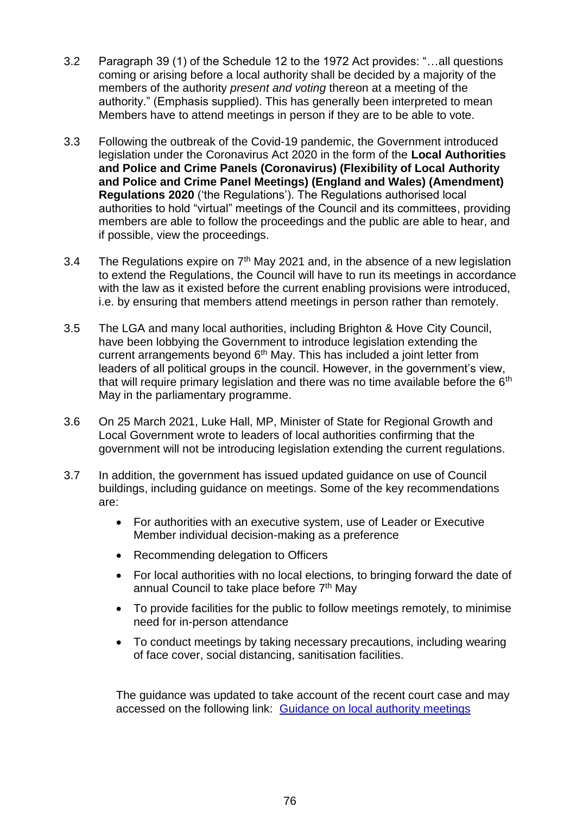- 3.2 Paragraph 39 (1) of the Schedule 12 to the 1972 Act provides: "…all questions coming or arising before a local authority shall be decided by a majority of the members of the authority *present and voting* thereon at a meeting of the authority." (Emphasis supplied). This has generally been interpreted to mean Members have to attend meetings in person if they are to be able to vote.
- 3.3 Following the outbreak of the Covid-19 pandemic, the Government introduced legislation under the Coronavirus Act 2020 in the form of the **Local Authorities and Police and Crime Panels (Coronavirus) (Flexibility of Local Authority and Police and Crime Panel Meetings) (England and Wales) (Amendment) Regulations 2020** ('the Regulations'). The Regulations authorised local authorities to hold "virtual" meetings of the Council and its committees, providing members are able to follow the proceedings and the public are able to hear, and if possible, view the proceedings.
- 3.4 The Regulations expire on  $7<sup>th</sup>$  May 2021 and, in the absence of a new legislation to extend the Regulations, the Council will have to run its meetings in accordance with the law as it existed before the current enabling provisions were introduced, i.e. by ensuring that members attend meetings in person rather than remotely.
- 3.5 The LGA and many local authorities, including Brighton & Hove City Council, have been lobbying the Government to introduce legislation extending the current arrangements beyond 6<sup>th</sup> May. This has included a joint letter from leaders of all political groups in the council. However, in the government's view, that will require primary legislation and there was no time available before the  $6<sup>th</sup>$ May in the parliamentary programme.
- 3.6 On 25 March 2021, Luke Hall, MP, Minister of State for Regional Growth and Local Government wrote to leaders of local authorities confirming that the government will not be introducing legislation extending the current regulations.
- 3.7 In addition, the government has issued updated guidance on use of Council buildings, including guidance on meetings. Some of the key recommendations are:
	- For authorities with an executive system, use of Leader or Executive Member individual decision-making as a preference
	- Recommending delegation to Officers
	- For local authorities with no local elections, to bringing forward the date of annual Council to take place before 7<sup>th</sup> May
	- To provide facilities for the public to follow meetings remotely, to minimise need for in-person attendance
	- To conduct meetings by taking necessary precautions, including wearing of face cover, social distancing, sanitisation facilities.

The guidance was updated to take account of the recent court case and may accessed on the following link: [Guidance on local authority meetings](https://www.gov.uk/government/publications/covid-19-guidance-for-the-safe-use-of-council-buildings/covid-19-guidance-for-the-safe-use-of-council-buildings)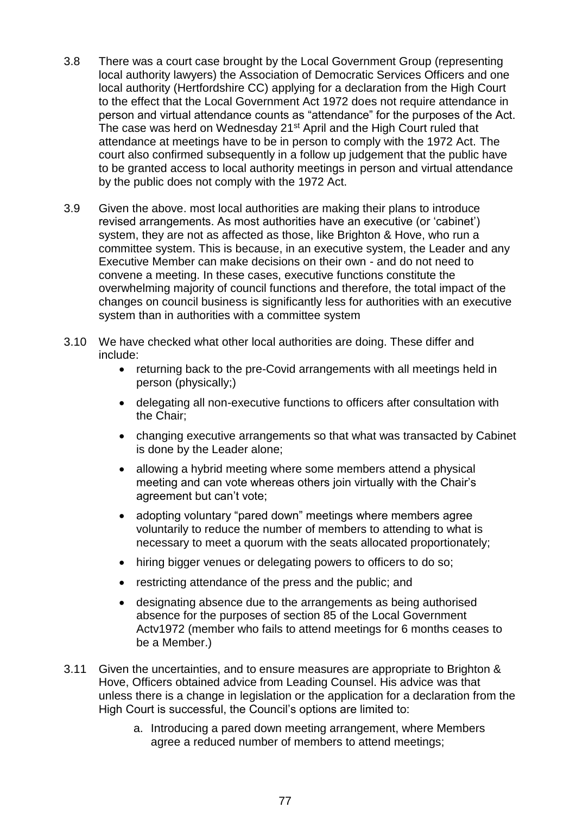- 3.8 There was a court case brought by the Local Government Group (representing local authority lawyers) the Association of Democratic Services Officers and one local authority (Hertfordshire CC) applying for a declaration from the High Court to the effect that the Local Government Act 1972 does not require attendance in person and virtual attendance counts as "attendance" for the purposes of the Act. The case was herd on Wednesday 21<sup>st</sup> April and the High Court ruled that attendance at meetings have to be in person to comply with the 1972 Act. The court also confirmed subsequently in a follow up judgement that the public have to be granted access to local authority meetings in person and virtual attendance by the public does not comply with the 1972 Act.
- 3.9 Given the above. most local authorities are making their plans to introduce revised arrangements. As most authorities have an executive (or 'cabinet') system, they are not as affected as those, like Brighton & Hove, who run a committee system. This is because, in an executive system, the Leader and any Executive Member can make decisions on their own - and do not need to convene a meeting. In these cases, executive functions constitute the overwhelming majority of council functions and therefore, the total impact of the changes on council business is significantly less for authorities with an executive system than in authorities with a committee system
- 3.10 We have checked what other local authorities are doing. These differ and include:
	- returning back to the pre-Covid arrangements with all meetings held in person (physically;)
	- delegating all non-executive functions to officers after consultation with the Chair;
	- changing executive arrangements so that what was transacted by Cabinet is done by the Leader alone;
	- allowing a hybrid meeting where some members attend a physical meeting and can vote whereas others join virtually with the Chair's agreement but can't vote;
	- adopting voluntary "pared down" meetings where members agree voluntarily to reduce the number of members to attending to what is necessary to meet a quorum with the seats allocated proportionately;
	- hiring bigger venues or delegating powers to officers to do so;
	- restricting attendance of the press and the public; and
	- designating absence due to the arrangements as being authorised absence for the purposes of section 85 of the Local Government Actv1972 (member who fails to attend meetings for 6 months ceases to be a Member.)
- 3.11 Given the uncertainties, and to ensure measures are appropriate to Brighton & Hove, Officers obtained advice from Leading Counsel. His advice was that unless there is a change in legislation or the application for a declaration from the High Court is successful, the Council's options are limited to:
	- a. Introducing a pared down meeting arrangement, where Members agree a reduced number of members to attend meetings;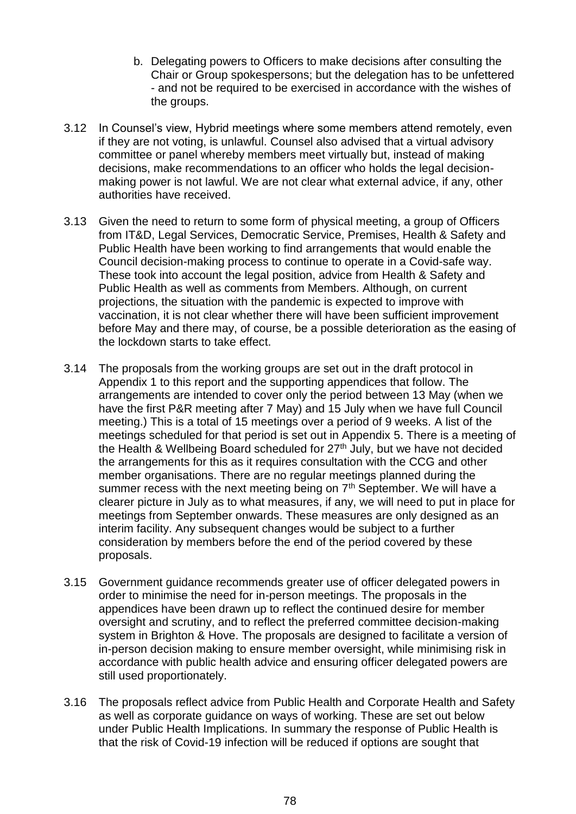- b. Delegating powers to Officers to make decisions after consulting the Chair or Group spokespersons; but the delegation has to be unfettered - and not be required to be exercised in accordance with the wishes of the groups.
- 3.12 In Counsel's view, Hybrid meetings where some members attend remotely, even if they are not voting, is unlawful. Counsel also advised that a virtual advisory committee or panel whereby members meet virtually but, instead of making decisions, make recommendations to an officer who holds the legal decisionmaking power is not lawful. We are not clear what external advice, if any, other authorities have received.
- 3.13 Given the need to return to some form of physical meeting, a group of Officers from IT&D, Legal Services, Democratic Service, Premises, Health & Safety and Public Health have been working to find arrangements that would enable the Council decision-making process to continue to operate in a Covid-safe way. These took into account the legal position, advice from Health & Safety and Public Health as well as comments from Members. Although, on current projections, the situation with the pandemic is expected to improve with vaccination, it is not clear whether there will have been sufficient improvement before May and there may, of course, be a possible deterioration as the easing of the lockdown starts to take effect.
- 3.14 The proposals from the working groups are set out in the draft protocol in Appendix 1 to this report and the supporting appendices that follow. The arrangements are intended to cover only the period between 13 May (when we have the first P&R meeting after 7 May) and 15 July when we have full Council meeting.) This is a total of 15 meetings over a period of 9 weeks. A list of the meetings scheduled for that period is set out in Appendix 5. There is a meeting of the Health & Wellbeing Board scheduled for 27<sup>th</sup> July, but we have not decided the arrangements for this as it requires consultation with the CCG and other member organisations. There are no regular meetings planned during the summer recess with the next meeting being on 7<sup>th</sup> September. We will have a clearer picture in July as to what measures, if any, we will need to put in place for meetings from September onwards. These measures are only designed as an interim facility. Any subsequent changes would be subject to a further consideration by members before the end of the period covered by these proposals.
- 3.15 Government guidance recommends greater use of officer delegated powers in order to minimise the need for in-person meetings. The proposals in the appendices have been drawn up to reflect the continued desire for member oversight and scrutiny, and to reflect the preferred committee decision-making system in Brighton & Hove. The proposals are designed to facilitate a version of in-person decision making to ensure member oversight, while minimising risk in accordance with public health advice and ensuring officer delegated powers are still used proportionately.
- 3.16 The proposals reflect advice from Public Health and Corporate Health and Safety as well as corporate guidance on ways of working. These are set out below under Public Health Implications. In summary the response of Public Health is that the risk of Covid-19 infection will be reduced if options are sought that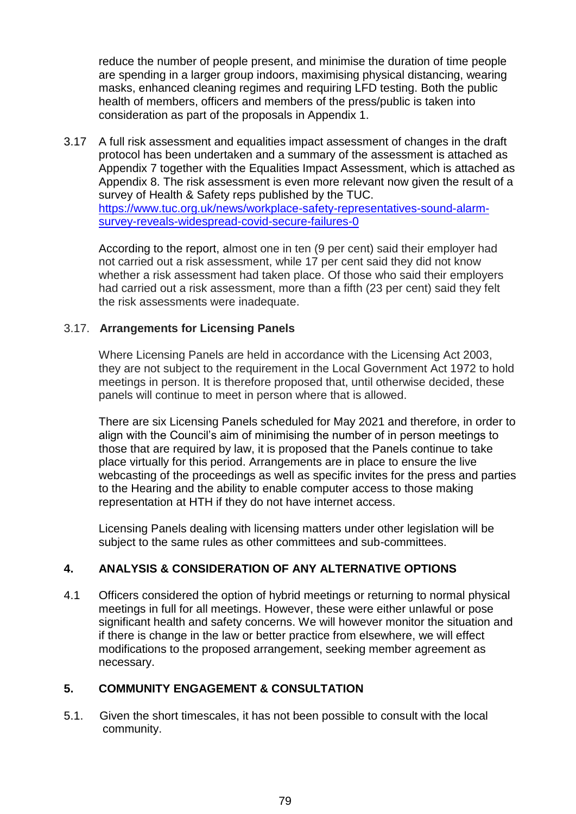reduce the number of people present, and minimise the duration of time people are spending in a larger group indoors, maximising physical distancing, wearing masks, enhanced cleaning regimes and requiring LFD testing. Both the public health of members, officers and members of the press/public is taken into consideration as part of the proposals in Appendix 1.

3.17 A full risk assessment and equalities impact assessment of changes in the draft protocol has been undertaken and a summary of the assessment is attached as Appendix 7 together with the Equalities Impact Assessment, which is attached as Appendix 8. The risk assessment is even more relevant now given the result of a survey of Health & Safety reps published by the TUC. [https://www.tuc.org.uk/news/workplace-safety-representatives-sound-alarm](https://www.tuc.org.uk/news/workplace-safety-representatives-sound-alarm-survey-reveals-widespread-covid-secure-failures-0)[survey-reveals-widespread-covid-secure-failures-0](https://www.tuc.org.uk/news/workplace-safety-representatives-sound-alarm-survey-reveals-widespread-covid-secure-failures-0)

According to the report, almost one in ten (9 per cent) said their employer had not carried out a risk assessment, while 17 per cent said they did not know whether a risk assessment had taken place. Of those who said their employers had carried out a risk assessment, more than a fifth (23 per cent) said they felt the risk assessments were inadequate.

### 3.17. **Arrangements for Licensing Panels**

Where Licensing Panels are held in accordance with the Licensing Act 2003, they are not subject to the requirement in the Local Government Act 1972 to hold meetings in person. It is therefore proposed that, until otherwise decided, these panels will continue to meet in person where that is allowed.

There are six Licensing Panels scheduled for May 2021 and therefore, in order to align with the Council's aim of minimising the number of in person meetings to those that are required by law, it is proposed that the Panels continue to take place virtually for this period. Arrangements are in place to ensure the live webcasting of the proceedings as well as specific invites for the press and parties to the Hearing and the ability to enable computer access to those making representation at HTH if they do not have internet access.

Licensing Panels dealing with licensing matters under other legislation will be subject to the same rules as other committees and sub-committees.

## **4. ANALYSIS & CONSIDERATION OF ANY ALTERNATIVE OPTIONS**

4.1 Officers considered the option of hybrid meetings or returning to normal physical meetings in full for all meetings. However, these were either unlawful or pose significant health and safety concerns. We will however monitor the situation and if there is change in the law or better practice from elsewhere, we will effect modifications to the proposed arrangement, seeking member agreement as necessary.

## **5. COMMUNITY ENGAGEMENT & CONSULTATION**

5.1. Given the short timescales, it has not been possible to consult with the local community.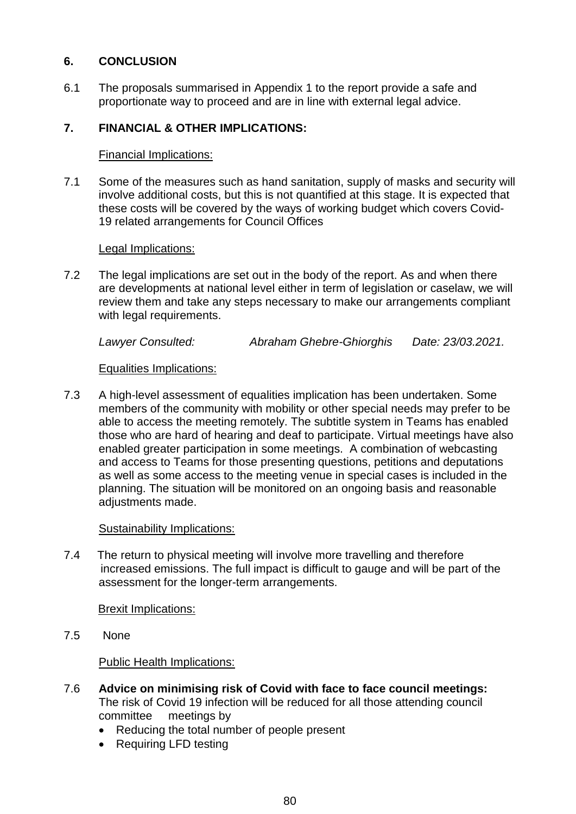# **6. CONCLUSION**

6.1 The proposals summarised in Appendix 1 to the report provide a safe and proportionate way to proceed and are in line with external legal advice.

# **7. FINANCIAL & OTHER IMPLICATIONS:**

### Financial Implications:

7.1 Some of the measures such as hand sanitation, supply of masks and security will involve additional costs, but this is not quantified at this stage. It is expected that these costs will be covered by the ways of working budget which covers Covid-19 related arrangements for Council Offices

### Legal Implications:

7.2 The legal implications are set out in the body of the report. As and when there are developments at national level either in term of legislation or caselaw, we will review them and take any steps necessary to make our arrangements compliant with legal requirements.

*Lawyer Consulted: Abraham Ghebre-Ghiorghis Date: 23/03.2021.*

## Equalities Implications:

7.3 A high-level assessment of equalities implication has been undertaken. Some members of the community with mobility or other special needs may prefer to be able to access the meeting remotely. The subtitle system in Teams has enabled those who are hard of hearing and deaf to participate. Virtual meetings have also enabled greater participation in some meetings. A combination of webcasting and access to Teams for those presenting questions, petitions and deputations as well as some access to the meeting venue in special cases is included in the planning. The situation will be monitored on an ongoing basis and reasonable adjustments made.

## Sustainability Implications:

7.4 The return to physical meeting will involve more travelling and therefore increased emissions. The full impact is difficult to gauge and will be part of the assessment for the longer-term arrangements.

Brexit Implications:

7.5 None

Public Health Implications:

- 7.6 **Advice on minimising risk of Covid with face to face council meetings:**  The risk of Covid 19 infection will be reduced for all those attending council committee meetings by
	- Reducing the total number of people present
	- Requiring LFD testing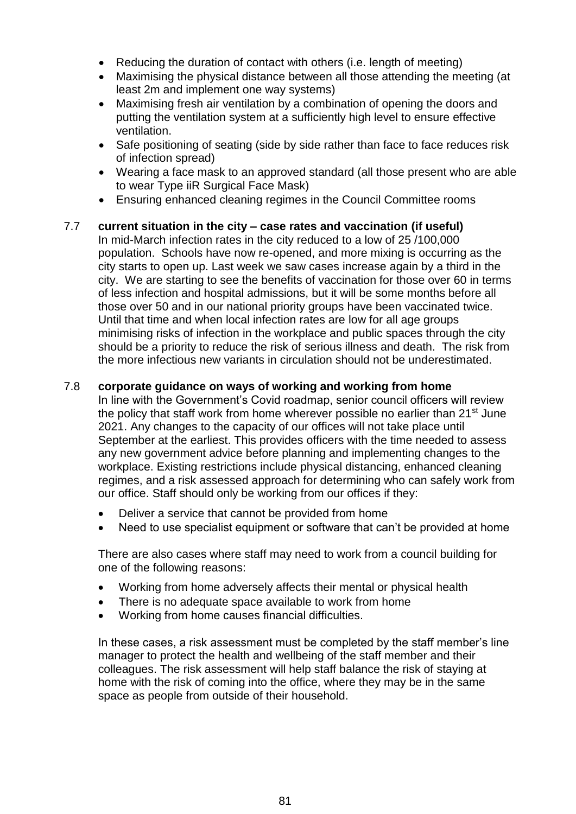- Reducing the duration of contact with others (i.e. length of meeting)
- Maximising the physical distance between all those attending the meeting (at least 2m and implement one way systems)
- Maximising fresh air ventilation by a combination of opening the doors and putting the ventilation system at a sufficiently high level to ensure effective ventilation.
- Safe positioning of seating (side by side rather than face to face reduces risk of infection spread)
- Wearing a face mask to an approved standard (all those present who are able to wear Type iiR Surgical Face Mask)
- Ensuring enhanced cleaning regimes in the Council Committee rooms

### 7.7 **current situation in the city – case rates and vaccination (if useful)**

In mid-March infection rates in the city reduced to a low of 25 /100,000 population. Schools have now re-opened, and more mixing is occurring as the city starts to open up. Last week we saw cases increase again by a third in the city. We are starting to see the benefits of vaccination for those over 60 in terms of less infection and hospital admissions, but it will be some months before all those over 50 and in our national priority groups have been vaccinated twice. Until that time and when local infection rates are low for all age groups minimising risks of infection in the workplace and public spaces through the city should be a priority to reduce the risk of serious illness and death. The risk from the more infectious new variants in circulation should not be underestimated.

#### 7.8 **corporate guidance on ways of working and working from home**

In line with the Government's Covid roadmap, senior council officers will review the policy that staff work from home wherever possible no earlier than  $21<sup>st</sup>$  June 2021. Any changes to the capacity of our offices will not take place until September at the earliest. This provides officers with the time needed to assess any new government advice before planning and implementing changes to the workplace. Existing restrictions include physical distancing, enhanced cleaning regimes, and a risk assessed approach for determining who can safely work from our office. Staff should only be working from our offices if they:

- Deliver a service that cannot be provided from home
- Need to use specialist equipment or software that can't be provided at home

There are also cases where staff may need to work from a council building for one of the following reasons:

- Working from home adversely affects their mental or physical health
- There is no adequate space available to work from home
- Working from home causes financial difficulties.

In these cases, a risk assessment must be completed by the staff member's line manager to protect the health and wellbeing of the staff member and their colleagues. The risk assessment will help staff balance the risk of staying at home with the risk of coming into the office, where they may be in the same space as people from outside of their household.